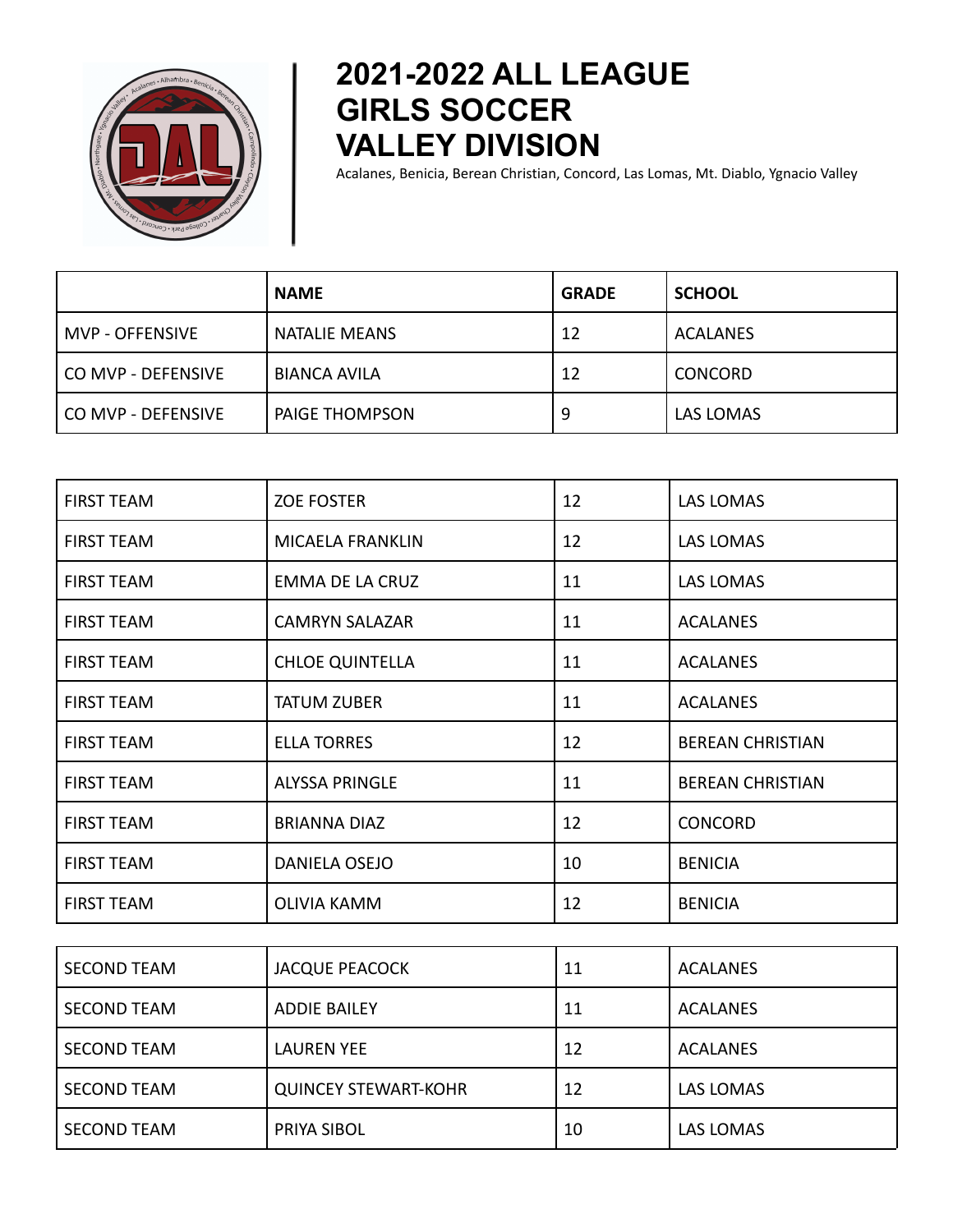

## **2021-2022 ALL LEAGUE GIRLS SOCCER VALLEY DIVISION**

Acalanes, Benicia, Berean Christian, Concord, Las Lomas, Mt. Diablo, Ygnacio Valley

|                      | <b>NAME</b>           | <b>GRADE</b> | <b>SCHOOL</b>   |
|----------------------|-----------------------|--------------|-----------------|
| MVP - OFFENSIVE      | NATALIE MEANS         | 12           | <b>ACALANES</b> |
| l CO MVP - DEFENSIVE | <b>BIANCA AVILA</b>   | 12           | <b>CONCORD</b>  |
| l CO MVP - DEFENSIVE | <b>PAIGE THOMPSON</b> | 9            | LAS LOMAS       |

| <b>FIRST TEAM</b> | <b>ZOE FOSTER</b>      | 12 | LAS LOMAS               |
|-------------------|------------------------|----|-------------------------|
| <b>FIRST TEAM</b> | MICAELA FRANKLIN       | 12 | <b>LAS LOMAS</b>        |
| <b>FIRST TEAM</b> | EMMA DE LA CRUZ        | 11 | <b>LAS LOMAS</b>        |
| <b>FIRST TEAM</b> | <b>CAMRYN SALAZAR</b>  | 11 | <b>ACALANES</b>         |
| <b>FIRST TEAM</b> | <b>CHLOE QUINTELLA</b> | 11 | <b>ACALANES</b>         |
| <b>FIRST TEAM</b> | <b>TATUM ZUBER</b>     | 11 | <b>ACALANES</b>         |
| <b>FIRST TEAM</b> | <b>ELLA TORRES</b>     | 12 | <b>BEREAN CHRISTIAN</b> |
| <b>FIRST TEAM</b> | <b>ALYSSA PRINGLE</b>  | 11 | <b>BEREAN CHRISTIAN</b> |
| <b>FIRST TEAM</b> | <b>BRIANNA DIAZ</b>    | 12 | <b>CONCORD</b>          |
| <b>FIRST TEAM</b> | DANIELA OSEJO          | 10 | <b>BENICIA</b>          |
| <b>FIRST TEAM</b> | <b>OLIVIA KAMM</b>     | 12 | <b>BENICIA</b>          |

| <b>SECOND TEAM</b> | <b>JACQUE PEACOCK</b>       | 11 | ACALANES         |
|--------------------|-----------------------------|----|------------------|
| <b>SECOND TEAM</b> | <b>ADDIE BAILEY</b>         | 11 | <b>ACALANES</b>  |
| <b>SECOND TEAM</b> | <b>LAUREN YEE</b>           | 12 | <b>ACALANES</b>  |
| <b>SECOND TEAM</b> | <b>QUINCEY STEWART-KOHR</b> | 12 | <b>LAS LOMAS</b> |
| <b>SECOND TEAM</b> | PRIYA SIBOL                 | 10 | <b>LAS LOMAS</b> |